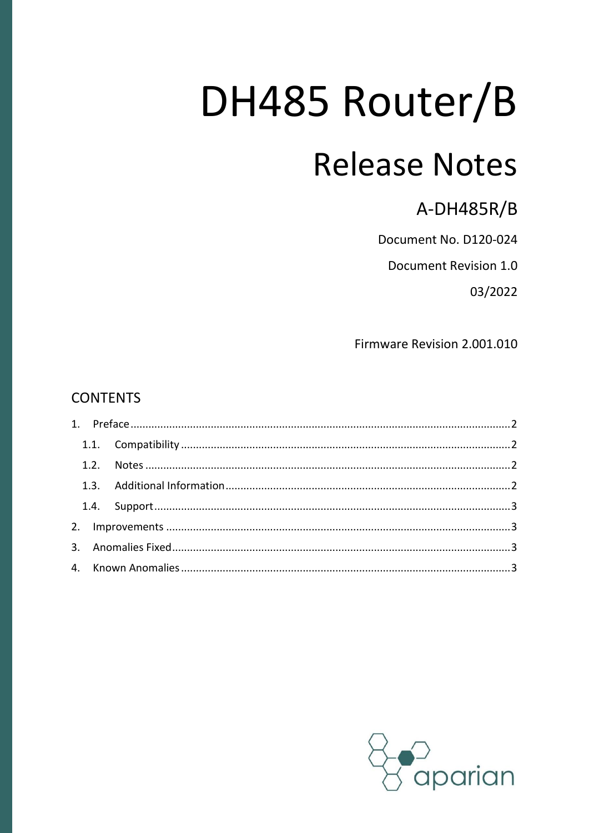# DH485 Router/B **Release Notes**

**A-DH485R/B** 

Document No. D120-024

Document Revision 1.0

03/2022

Firmware Revision 2.001.010

#### **CONTENTS**

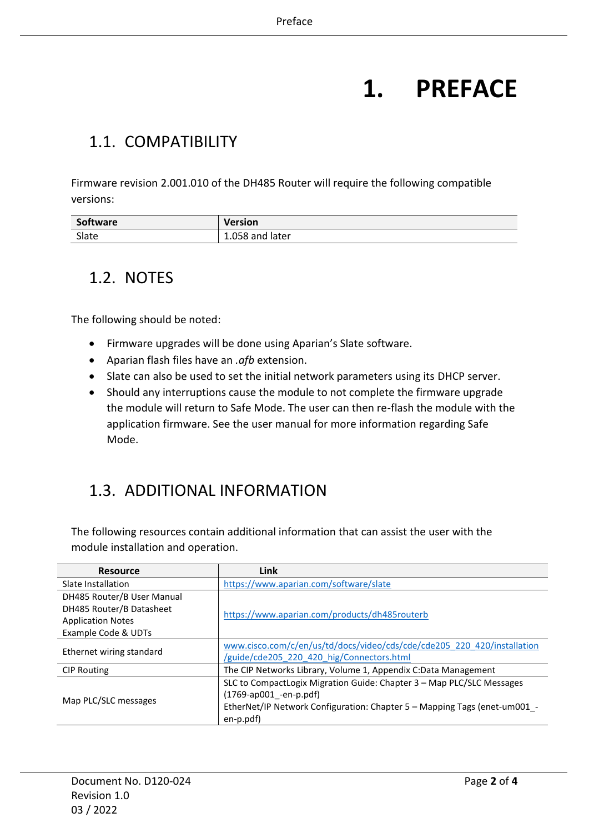## **1. PREFACE**

#### <span id="page-1-1"></span><span id="page-1-0"></span>1.1. COMPATIBILITY

Firmware revision 2.001.010 of the DH485 Router will require the following compatible versions:

| Software | <b>Version</b>     |
|----------|--------------------|
| Slate    | 1.058 and<br>later |

#### <span id="page-1-2"></span>1.2. NOTES

The following should be noted:

- Firmware upgrades will be done using Aparian's Slate software.
- Aparian flash files have an *.afb* extension.
- Slate can also be used to set the initial network parameters using its DHCP server.
- Should any interruptions cause the module to not complete the firmware upgrade the module will return to Safe Mode. The user can then re-flash the module with the application firmware. See the user manual for more information regarding Safe Mode.

### <span id="page-1-3"></span>1.3. ADDITIONAL INFORMATION

The following resources contain additional information that can assist the user with the module installation and operation.

| <b>Resource</b>            | Link                                                                      |  |
|----------------------------|---------------------------------------------------------------------------|--|
| Slate Installation         | https://www.aparian.com/software/slate                                    |  |
| DH485 Router/B User Manual |                                                                           |  |
| DH485 Router/B Datasheet   | https://www.aparian.com/products/dh485routerb                             |  |
| <b>Application Notes</b>   |                                                                           |  |
| Example Code & UDTs        |                                                                           |  |
| Ethernet wiring standard   | www.cisco.com/c/en/us/td/docs/video/cds/cde/cde205 220 420/installation   |  |
|                            | /guide/cde205 220 420 hig/Connectors.html                                 |  |
| <b>CIP Routing</b>         | The CIP Networks Library, Volume 1, Appendix C:Data Management            |  |
|                            | SLC to CompactLogix Migration Guide: Chapter 3 - Map PLC/SLC Messages     |  |
|                            | $(1769$ -ap001 -en-p.pdf)                                                 |  |
| Map PLC/SLC messages       | EtherNet/IP Network Configuration: Chapter 5 - Mapping Tags (enet-um001_- |  |
|                            | en-p.pdf)                                                                 |  |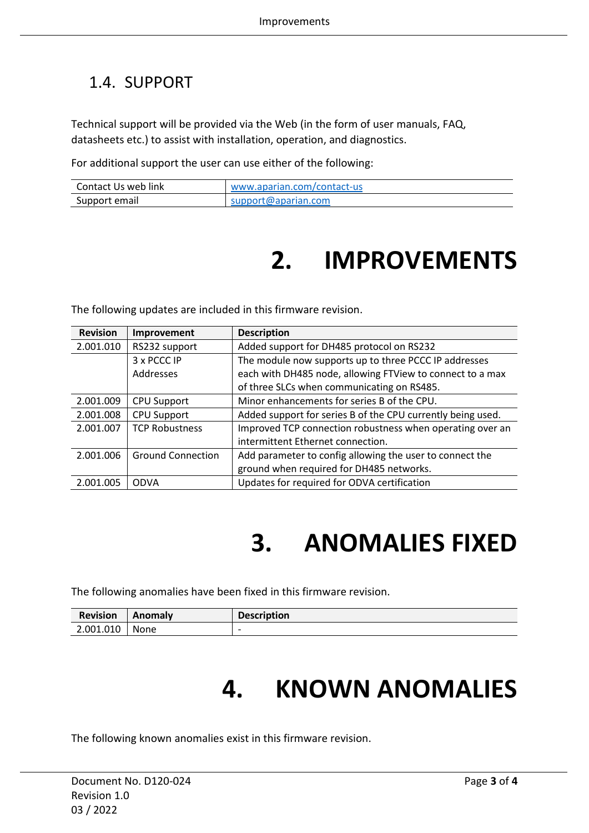### <span id="page-2-0"></span>1.4. SUPPORT

Technical support will be provided via the Web (in the form of user manuals, FAQ, datasheets etc.) to assist with installation, operation, and diagnostics.

For additional support the user can use either of the following:

<span id="page-2-1"></span>

| Contact Us web link | www.aparian.com/contact-us |
|---------------------|----------------------------|
| Support email       | support@aparian.com        |

## **2. IMPROVEMENTS**

The following updates are included in this firmware revision.

| <b>Revision</b> | Improvement              | <b>Description</b>                                          |
|-----------------|--------------------------|-------------------------------------------------------------|
| 2.001.010       | RS232 support            | Added support for DH485 protocol on RS232                   |
|                 | 3 x PCCC IP              | The module now supports up to three PCCC IP addresses       |
|                 | Addresses                | each with DH485 node, allowing FTView to connect to a max   |
|                 |                          | of three SLCs when communicating on RS485.                  |
| 2.001.009       | <b>CPU Support</b>       | Minor enhancements for series B of the CPU.                 |
| 2.001.008       | <b>CPU Support</b>       | Added support for series B of the CPU currently being used. |
| 2.001.007       | <b>TCP Robustness</b>    | Improved TCP connection robustness when operating over an   |
|                 |                          | intermittent Ethernet connection.                           |
| 2.001.006       | <b>Ground Connection</b> | Add parameter to config allowing the user to connect the    |
|                 |                          | ground when required for DH485 networks.                    |
| 2.001.005       | <b>ODVA</b>              | Updates for required for ODVA certification                 |

## **3. ANOMALIES FIXED**

<span id="page-2-2"></span>The following anomalies have been fixed in this firmware revision.

<span id="page-2-3"></span>

| <b>Revision</b> | <b>Anomaly</b> | <b>Description</b>       |
|-----------------|----------------|--------------------------|
| 2.001.010       | None           | $\overline{\phantom{0}}$ |

## **4. KNOWN ANOMALIES**

The following known anomalies exist in this firmware revision.